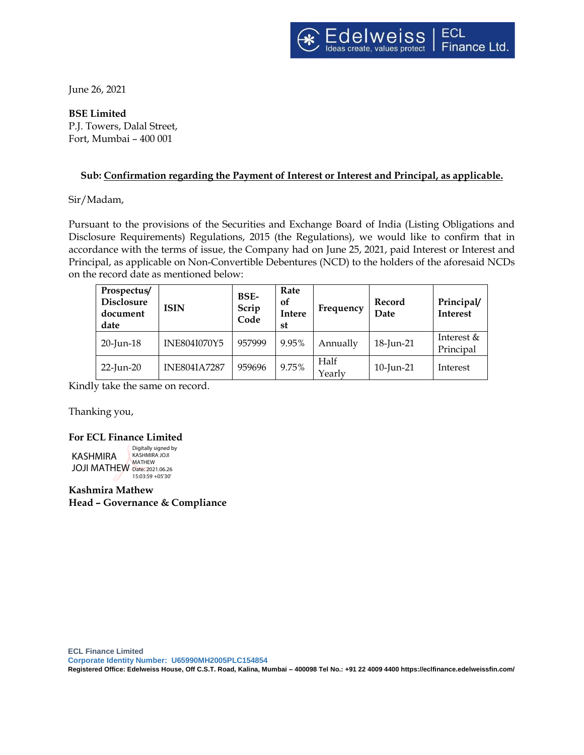June 26, 2021

**BSE Limited** P.J. Towers, Dalal Street, Fort, Mumbai – 400 001

# **Sub: Confirmation regarding the Payment of Interest or Interest and Principal, as applicable.**

Sir/Madam,

Pursuant to the provisions of the Securities and Exchange Board of India (Listing Obligations and Disclosure Requirements) Regulations, 2015 (the Regulations), we would like to confirm that in accordance with the terms of issue, the Company had on June 25, 2021, paid Interest or Interest and Principal, as applicable on Non-Convertible Debentures (NCD) to the holders of the aforesaid NCDs on the record date as mentioned below:

| Prospectus/<br><b>Disclosure</b><br>document<br>date | <b>ISIN</b>         | BSE-<br>Scrip<br>Code | Rate<br><sub>of</sub><br>Intere<br>st | Frequency      | Record<br>Date | Principal/<br><b>Interest</b> |
|------------------------------------------------------|---------------------|-----------------------|---------------------------------------|----------------|----------------|-------------------------------|
| $20$ -Jun-18                                         | INE804I070Y5        | 957999                | 9.95%                                 | Annually       | 18-Jun-21      | Interest &<br>Principal       |
| $22$ -Jun-20                                         | <b>INE804IA7287</b> | 959696                | 9.75%                                 | Half<br>Yearlv | 10-Jun-21      | Interest                      |

Kindly take the same on record.

Thanking you,

#### **For ECL Finance Limited**

KASHMIRA **JOJI MATHEW** Date: 2021.06.26 Digitally signed by KASHMIRA JOJI MATHEW 15:03:59 +05'30'

**Kashmira Mathew Head – Governance & Compliance**